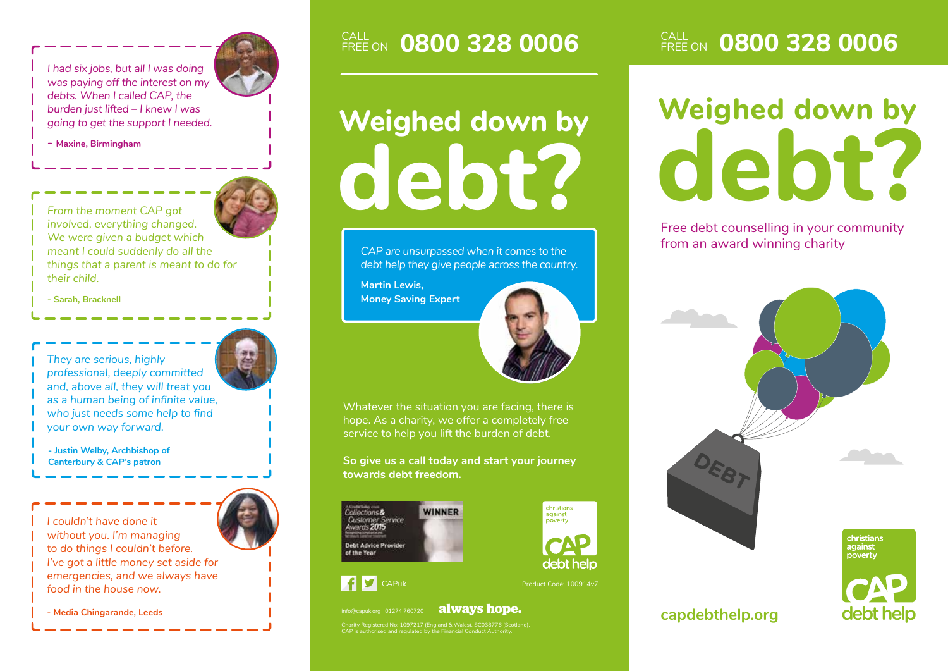*I had six jobs, but all I was doing was paying off the interest on my debts. When I called CAP, the burden just lifted – I knew I was going to get the support I needed.*



**- Maxine, Birmingham**

*From the moment CAP got involved, everything changed. We were given a budget which meant I could suddenly do all the things that a parent is meant to do for their child.*

**- Sarah, Bracknell**

*They are serious, highly professional, deeply committed and, above all, they will treat you as a human being of infinite value, who just needs some help to find your own way forward.*

**- Justin Welby, Archbishop of Canterbury & CAP's patron**



**- Media Chingarande, Leeds always hope. always hope.** 

# **debt?**

*CAP are unsurpassed when it comes to the debt help they give people across the country.*

**Martin Lewis, Money Saving Expert**



christians

against

poverty

debt help

Whatever the situation you are facing, there is hope. As a charity, we offer a completely free service to help you lift the burden of debt.

**So give us a call today and start your journey towards debt freedom.**





Charity Registered No: 1097217 (England & Wales), SC038776 (Scotland). CAP is authorised and regulated by the Financial Conduct Authority.

#### **CALL OR00 328 0006** EREE ON **0800 328 0006** CALL ON **0800 328 0006**

# **Weighed down by Weighed down by**<br> **debt? debt?**

Free debt counselling in your community from an award winning charity